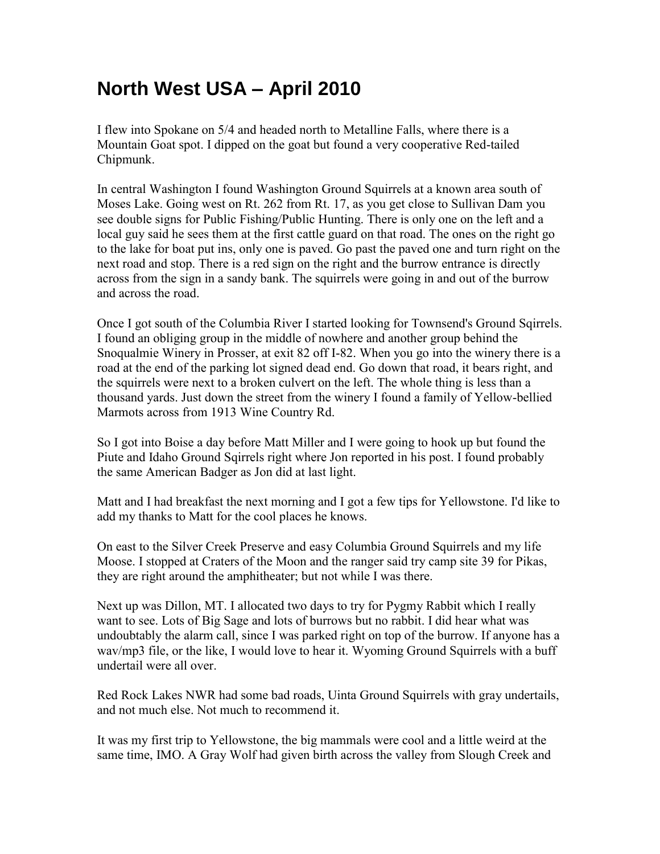## **North West USA – April 2010**

I flew into Spokane on 5/4 and headed north to Metalline Falls, where there is a Mountain Goat spot. I dipped on the goat but found a very cooperative Red-tailed Chipmunk.

In central Washington I found Washington Ground Squirrels at a known area south of Moses Lake. Going west on Rt. 262 from Rt. 17, as you get close to Sullivan Dam you see double signs for Public Fishing/Public Hunting. There is only one on the left and a local guy said he sees them at the first cattle guard on that road. The ones on the right go to the lake for boat put ins, only one is paved. Go past the paved one and turn right on the next road and stop. There is a red sign on the right and the burrow entrance is directly across from the sign in a sandy bank. The squirrels were going in and out of the burrow and across the road.

Once I got south of the Columbia River I started looking for Townsend's Ground Sqirrels. I found an obliging group in the middle of nowhere and another group behind the Snoqualmie Winery in Prosser, at exit 82 off I-82. When you go into the winery there is a road at the end of the parking lot signed dead end. Go down that road, it bears right, and the squirrels were next to a broken culvert on the left. The whole thing is less than a thousand yards. Just down the street from the winery I found a family of Yellow-bellied Marmots across from 1913 Wine Country Rd.

So I got into Boise a day before Matt Miller and I were going to hook up but found the Piute and Idaho Ground Sqirrels right where Jon reported in his post. I found probably the same American Badger as Jon did at last light.

Matt and I had breakfast the next morning and I got a few tips for Yellowstone. I'd like to add my thanks to Matt for the cool places he knows.

On east to the Silver Creek Preserve and easy Columbia Ground Squirrels and my life Moose. I stopped at Craters of the Moon and the ranger said try camp site 39 for Pikas, they are right around the amphitheater; but not while I was there.

Next up was Dillon, MT. I allocated two days to try for Pygmy Rabbit which I really want to see. Lots of Big Sage and lots of burrows but no rabbit. I did hear what was undoubtably the alarm call, since I was parked right on top of the burrow. If anyone has a wav/mp3 file, or the like, I would love to hear it. Wyoming Ground Squirrels with a buff undertail were all over.

Red Rock Lakes NWR had some bad roads, Uinta Ground Squirrels with gray undertails, and not much else. Not much to recommend it.

It was my first trip to Yellowstone, the big mammals were cool and a little weird at the same time, IMO. A Gray Wolf had given birth across the valley from Slough Creek and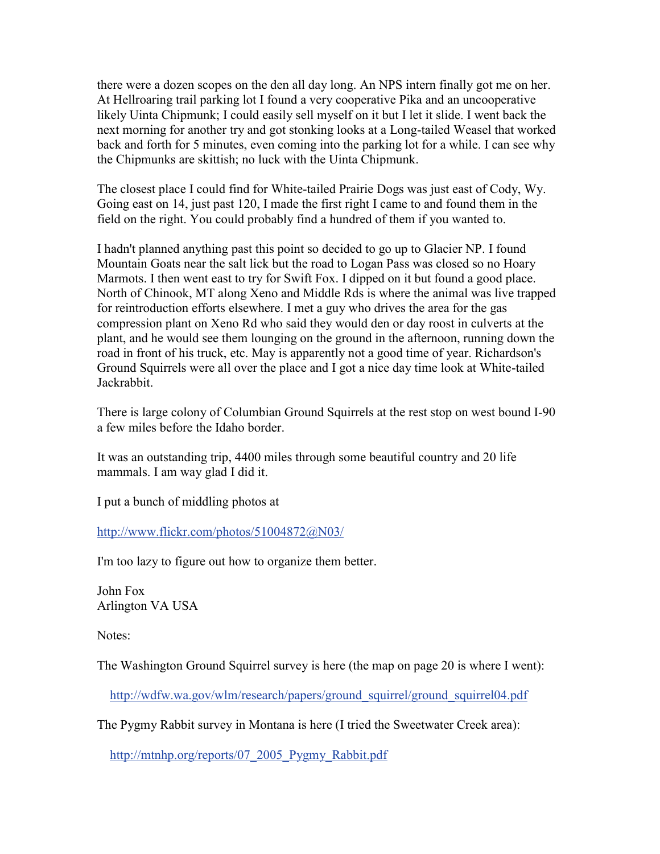there were a dozen scopes on the den all day long. An NPS intern finally got me on her. At Hellroaring trail parking lot I found a very cooperative Pika and an uncooperative likely Uinta Chipmunk; I could easily sell myself on it but I let it slide. I went back the next morning for another try and got stonking looks at a Long-tailed Weasel that worked back and forth for 5 minutes, even coming into the parking lot for a while. I can see why the Chipmunks are skittish; no luck with the Uinta Chipmunk.

The closest place I could find for White-tailed Prairie Dogs was just east of Cody, Wy. Going east on 14, just past 120, I made the first right I came to and found them in the field on the right. You could probably find a hundred of them if you wanted to.

I hadn't planned anything past this point so decided to go up to Glacier NP. I found Mountain Goats near the salt lick but the road to Logan Pass was closed so no Hoary Marmots. I then went east to try for Swift Fox. I dipped on it but found a good place. North of Chinook, MT along Xeno and Middle Rds is where the animal was live trapped for reintroduction efforts elsewhere. I met a guy who drives the area for the gas compression plant on Xeno Rd who said they would den or day roost in culverts at the plant, and he would see them lounging on the ground in the afternoon, running down the road in front of his truck, etc. May is apparently not a good time of year. Richardson's Ground Squirrels were all over the place and I got a nice day time look at White-tailed Jackrabbit.

There is large colony of Columbian Ground Squirrels at the rest stop on west bound I-90 a few miles before the Idaho border.

It was an outstanding trip, 4400 miles through some beautiful country and 20 life mammals. I am way glad I did it.

I put a bunch of middling photos at

<http://www.flickr.com/photos/51004872@N03/>

I'm too lazy to figure out how to organize them better.

John Fox Arlington VA USA

Notes:

The Washington Ground Squirrel survey is here (the map on page 20 is where I went):

[http://wdfw.wa.gov/wlm/research/papers/ground\\_squirrel/ground\\_squirrel04.pdf](http://wdfw.wa.gov/wlm/research/papers/ground_squirrel/ground_squirrel04.pdf)

The Pygmy Rabbit survey in Montana is here (I tried the Sweetwater Creek area):

[http://mtnhp.org/reports/07\\_2005\\_Pygmy\\_Rabbit.pdf](http://mtnhp.org/reports/07_2005_Pygmy_Rabbit.pdf)